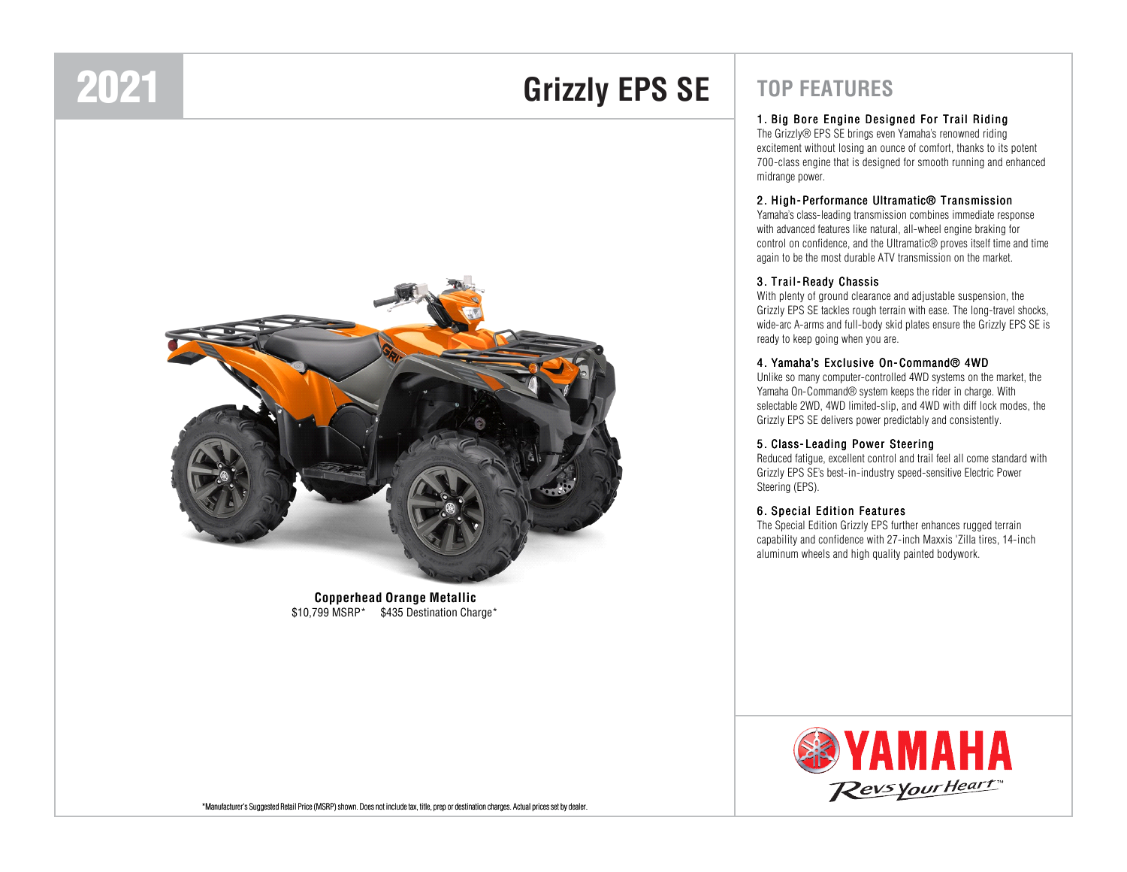## 2021

## **Grizzly EPS SE**



**Copperhead Orange Metallic**\$10,799 MSRP\* \$435 Destination Charge\*

### **TOP FEATURES**

#### <sup>1</sup> . Big Bore Engine Designed For Trail Riding

The Grizzly® EPS SE brings even Yamaha's renowned riding excitement without losing an ounce of comfort, thanks to its potent 700-class engine that is designed for smooth running and enhanced midrange power.

#### <sup>2</sup> . High- Performance Ultramatic® Transmission

Yamaha's class-leading transmission combines immediate response with advanced features like natural, all-wheel engine braking for control on confidence, and the Ultramatic® proves itself time and time again to be the most durable ATV transmission on the market.

#### <sup>3</sup> . Trail- Ready Chassis

With plenty of ground clearance and adjustable suspension, the Grizzly EPS SE tackles rough terrain with ease. The long-travel shocks, wide-arc A-arms and full-body skid plates ensure the Grizzly EPS SE is ready to keep going when you are.

#### <sup>4</sup> . Yamaha's Exclusive On- Command® 4WD

 Unlike so many computer-controlled 4WD systems on the market, the Yamaha On-Command® system keeps the rider in charge. With selectable 2WD, 4WD limited-slip, and 4WD with diff lock modes, the Grizzly EPS SE delivers power predictably and consistently.

#### <sup>5</sup> . Class- Leading Power Steering

Reduced fatigue, excellent control and trail feel all come standard with Grizzly EPS SE's best-in-industry speed-sensitive Electric Power Steering (EPS).

#### <sup>6</sup> . Special Edition Features

The Special Edition Grizzly EPS further enhances rugged terrain capability and confidence with 27-inch Maxxis 'Zilla tires, 14-inch aluminum wheels and high quality painted bodywork.



\*Manufacturer's Suggested Retail Price (MSRP) shown. Does not include tax, title, prep or destination charges. Actual prices set by dealer.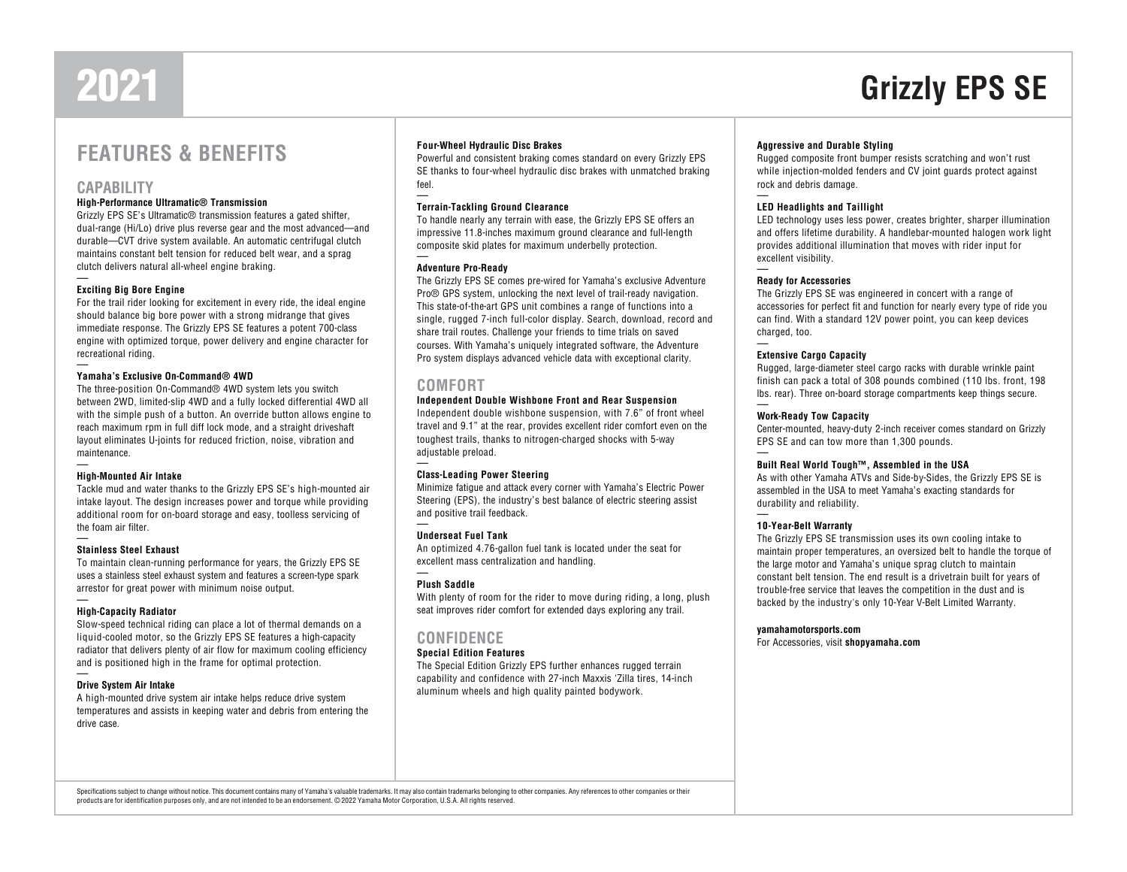# 2021

### **FEATURES & BENEFITS**

#### **CAPABILITY**

#### **High-Performance Ultramatic® Transmission**

 Grizzly EPS SE's Ultramatic® transmission features a gated shifter, dual-range (Hi/Lo) drive plus reverse gear and the most advanced—and durable—CVT drive system available. An automatic centrifugal clutch maintains constant belt tension for reduced belt wear, and a sprag clutch delivers natural all-wheel engine braking.

#### **Exciting Big Bore Engine**

 For the trail rider looking for excitement in every ride, the ideal engine should balance big bore power with a strong midrange that gives immediate response. The Grizzly EPS SE features a potent 700-class engine with optimized torque, power delivery and engine character for recreational riding.

#### **Yamaha's Exclusive On-Command® 4WD**

 The three-position On-Command® 4WD system lets you switch between 2WD, limited-slip 4WD and a fully locked differential 4WD all with the simple push of a button. An override button allows engine to reach maximum rpm in full diff lock mode, and a straight driveshaft layout eliminates U-joints for reduced friction, noise, vibration and maintenance.

#### **High-Mounted Air Intake**

 Tackle mud and water thanks to the Grizzly EPS SE's high-mounted air intake layout. The design increases power and torque while providing additional room for on-board storage and easy, toolless servicing of the foam air filter.

#### **Stainless Steel Exhaust**

 To maintain clean-running performance for years, the Grizzly EPS SE uses a stainless steel exhaust system and features a screen-type spark arrestor for great power with minimum noise output.

#### **High-Capacity Radiator**

 Slow-speed technical riding can place a lot of thermal demands on a liquid-cooled motor, so the Grizzly EPS SE features a high-capacity radiator that delivers plenty of air flow for maximum cooling efficiency and is positioned high in the frame for optimal protection.

#### **Drive System Air Intake**

 A high-mounted drive system air intake helps reduce drive system temperatures and assists in keeping water and debris from entering the drive case.

#### **Four-Wheel Hydraulic Disc Brakes**

 Powerful and consistent braking comes standard on every Grizzly EPS SE thanks to four-wheel hydraulic disc brakes with unmatched braking feel.

#### **Terrain-Tackling Ground Clearance**

 To handle nearly any terrain with ease, the Grizzly EPS SE offers an impressive 11.8-inches maximum ground clearance and full-length composite skid plates for maximum underbelly protection.

#### **Adventure Pro-Ready**

 The Grizzly EPS SE comes pre-wired for Yamaha's exclusive Adventure Pro® GPS system, unlocking the next level of trail-ready navigation. This state-of-the-art GPS unit combines a range of functions into a single, rugged 7-inch full-color display. Search, download, record and share trail routes. Challenge your friends to time trials on saved courses. With Yamaha's uniquely integrated software, the Adventure Pro system displays advanced vehicle data with exceptional clarity.

#### **COMFORT**

#### **Independent Double Wishbone Front and Rear Suspension**

 Independent double wishbone suspension, with 7.6" of front wheel travel and 9.1" at the rear, provides excellent rider comfort even on the toughest trails, thanks to nitrogen-charged shocks with 5-way adjustable preload.

#### **Class-Leading Power Steering**

 Minimize fatigue and attack every corner with Yamaha's Electric Power Steering (EPS), the industry's best balance of electric steering assist and positive trail feedback.

#### **Underseat Fuel Tank**

 An optimized 4.76-gallon fuel tank is located under the seat for excellent mass centralization and handling.

#### **Plush Saddle**

 With plenty of room for the rider to move during riding, a long, plush seat improves rider comfort for extended days exploring any trail.

#### **CONFIDENCE**

#### **Special Edition Features**

 The Special Edition Grizzly EPS further enhances rugged terrain capability and confidence with 27-inch Maxxis 'Zilla tires, 14-inch aluminum wheels and high quality painted bodywork.

#### **Aggressive and Durable Styling**

 Rugged composite front bumper resists scratching and won't rust while injection-molded fenders and CV joint guards protect against rock and debris damage.

**Grizzly EPS SE**

#### **LED Headlights and Taillight**

 LED technology uses less power, creates brighter, sharper illumination and offers lifetime durability. A handlebar-mounted halogen work light provides additional illumination that moves with rider input for excellent visibility.

#### **Ready for Accessories**

 The Grizzly EPS SE was engineered in concert with a range of accessories for perfect fit and function for nearly every type of ride you can find. With a standard 12V power point, you can keep devices charged, too.

#### **Extensive Cargo Capacity**

 Rugged, large-diameter steel cargo racks with durable wrinkle paint finish can pack a total of 308 pounds combined (110 lbs. front, 198 lbs. rear). Three on-board storage compartments keep things secure.

#### **Work-Ready Tow Capacity**

 Center-mounted, heavy-duty 2-inch receiver comes standard on Grizzly EPS SE and can tow more than 1,300 pounds.

#### **Built Real World Tough™, Assembled in the USA**

 As with other Yamaha ATVs and Side-by-Sides, the Grizzly EPS SE is assembled in the USA to meet Yamaha's exacting standards for durability and reliability.

#### **10-Year-Belt Warranty**

 The Grizzly EPS SE transmission uses its own cooling intake to maintain proper temperatures, an oversized belt to handle the torque of the large motor and Yamaha's unique sprag clutch to maintain constant belt tension. The end result is a drivetrain built for years of trouble-free service that leaves the competition in the dust and is backed by the industry's only 10-Year V-Belt Limited Warranty.

#### **yamahamotorsports.com**

For Accessories, visit **shopyamaha.com**

Specifications subject to change without notice. This document contains many of Yamaha's valuable trademarks. It may also contain trademarks belonging to other companies. Any references to other companies or their products are for identification purposes only, and are not intended to be an endorsement. © 2022 Yamaha Motor Corporation, U.S.A. All rights reserved.